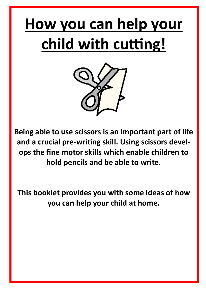## **How you can help your child with cutting!**



**Being able to use scissors is an important part of life and a crucial pre-writing skill. Using scissors develops the fine motor skills which enable children to hold pencils and be able to write***.*

**This booklet provides you with some ideas of how you can help your child at home.**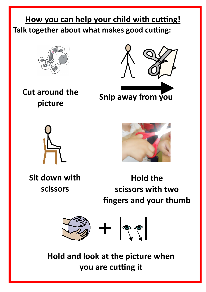## **How you can help your child with cutting! Talk together about what makes good cutting:**



**Cut around the picture**



**Snip away from you**





**Sit down with scissors**

**Hold the scissors with two fingers and your thumb** 



**Hold and look at the picture when you are cutting it**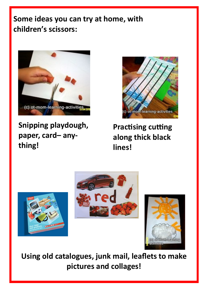## **Some ideas you can try at home, with children's scissors:**



**Snipping playdough, paper, card– anything!** 



**Practising cutting along thick black lines!**







**Using old catalogues, junk mail, leaflets to make pictures and collages!**